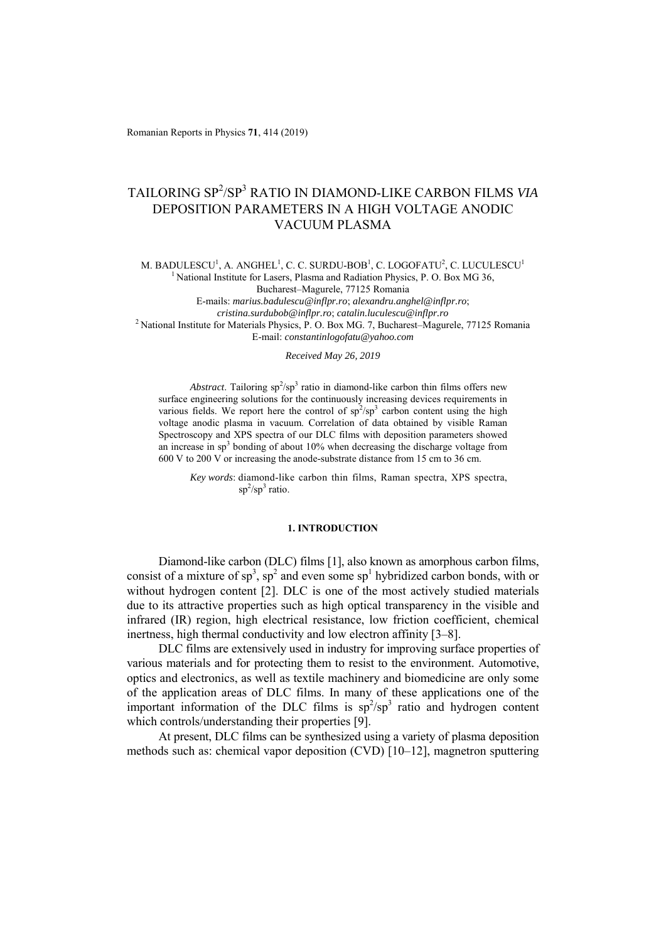Romanian Reports in Physics **71**, 414 (2019)

# TAILORING SP<sup>2</sup> /SP3 RATIO IN DIAMOND-LIKE CARBON FILMS *VIA* DEPOSITION PARAMETERS IN A HIGH VOLTAGE ANODIC VACUUM PLASMA

M. BADULESCU $^{\rm l}$ , A. ANGHEL $^{\rm l}$ , C. C. SURDU-BOB $^{\rm l}$ , C. LOGOFATU $^{\rm 2}$ , C. LUCULESCU $^{\rm l}$ <sup>1</sup> National Institute for Lasers, Plasma and Radiation Physics, P. O. Box MG 36,

Bucharest–Magurele, 77125 Romania

E-mails: *marius.badulescu@inflpr.ro*; *alexandru.anghel@inflpr.ro*;

*cristina.surdubob@inflpr.ro*; *catalin.luculescu@inflpr.ro* 2 National Institute for Materials Physics, P. O. Box MG. 7, Bucharest–Magurele, 77125 Romania E-mail: *constantinlogofatu@yahoo.com*

*Received May 26, 2019* 

Abstract. Tailoring  $sp^2/sp^3$  ratio in diamond-like carbon thin films offers new surface engineering solutions for the continuously increasing devices requirements in various fields. We report here the control of  $sp^2/sp^3$  carbon content using the high voltage anodic plasma in vacuum. Correlation of data obtained by visible Raman Spectroscopy and XPS spectra of our DLC films with deposition parameters showed an increase in  $sp<sup>3</sup>$  bonding of about 10% when decreasing the discharge voltage from 600 V to 200 V or increasing the anode-substrate distance from 15 cm to 36 cm.

*Key words*: diamond-like carbon thin films, Raman spectra, XPS spectra,  $\mathrm{sp}^2/\mathrm{sp}^3$  ratio.

## **1. INTRODUCTION**

Diamond-like carbon (DLC) films [1], also known as amorphous carbon films, consist of a mixture of  $sp^3$ ,  $sp^2$  and even some  $sp^1$  hybridized carbon bonds, with or without hydrogen content [2]. DLC is one of the most actively studied materials due to its attractive properties such as high optical transparency in the visible and infrared (IR) region, high electrical resistance, low friction coefficient, chemical inertness, high thermal conductivity and low electron affinity [3–8].

DLC films are extensively used in industry for improving surface properties of various materials and for protecting them to resist to the environment. Automotive, optics and electronics, as well as textile machinery and biomedicine are only some of the application areas of DLC films. In many of these applications one of the important information of the DLC films is  $sp^2/sp^3$  ratio and hydrogen content which controls/understanding their properties [9].

At present, DLC films can be synthesized using a variety of plasma deposition methods such as: chemical vapor deposition (CVD) [10–12], magnetron sputtering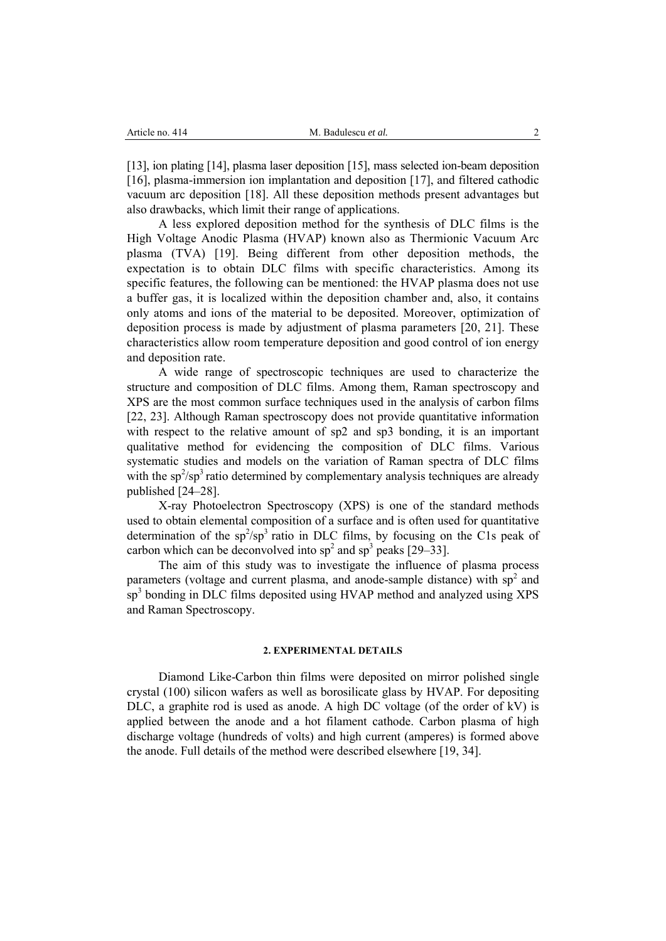[13], ion plating [14], plasma laser deposition [15], mass selected ion-beam deposition [16], plasma-immersion ion implantation and deposition [17], and filtered cathodic vacuum arc deposition [18]. All these deposition methods present advantages but also drawbacks, which limit their range of applications.

A less explored deposition method for the synthesis of DLC films is the High Voltage Anodic Plasma (HVAP) known also as Thermionic Vacuum Arc plasma (TVA) [19]. Being different from other deposition methods, the expectation is to obtain DLC films with specific characteristics. Among its specific features, the following can be mentioned: the HVAP plasma does not use a buffer gas, it is localized within the deposition chamber and, also, it contains only atoms and ions of the material to be deposited. Moreover, optimization of deposition process is made by adjustment of plasma parameters [20, 21]. These characteristics allow room temperature deposition and good control of ion energy and deposition rate.

A wide range of spectroscopic techniques are used to characterize the structure and composition of DLC films. Among them, Raman spectroscopy and XPS are the most common surface techniques used in the analysis of carbon films [22, 23]. Although Raman spectroscopy does not provide quantitative information with respect to the relative amount of sp2 and sp3 bonding, it is an important qualitative method for evidencing the composition of DLC films. Various systematic studies and models on the variation of Raman spectra of DLC films with the  $sp^2/sp^3$  ratio determined by complementary analysis techniques are already published [24–28].

X-ray Photoelectron Spectroscopy (XPS) is one of the standard methods used to obtain elemental composition of a surface and is often used for quantitative determination of the  $sp^2/sp^3$  ratio in DLC films, by focusing on the C1s peak of carbon which can be deconvolved into  $sp^2$  and  $sp^3$  peaks [29–33].

The aim of this study was to investigate the influence of plasma process parameters (voltage and current plasma, and anode-sample distance) with  $sp<sup>2</sup>$  and sp<sup>3</sup> bonding in DLC films deposited using HVAP method and analyzed using XPS and Raman Spectroscopy.

## **2. EXPERIMENTAL DETAILS**

Diamond Like-Carbon thin films were deposited on mirror polished single crystal (100) silicon wafers as well as borosilicate glass by HVAP. For depositing DLC, a graphite rod is used as anode. A high DC voltage (of the order of kV) is applied between the anode and a hot filament cathode. Carbon plasma of high discharge voltage (hundreds of volts) and high current (amperes) is formed above the anode. Full details of the method were described elsewhere [19, 34].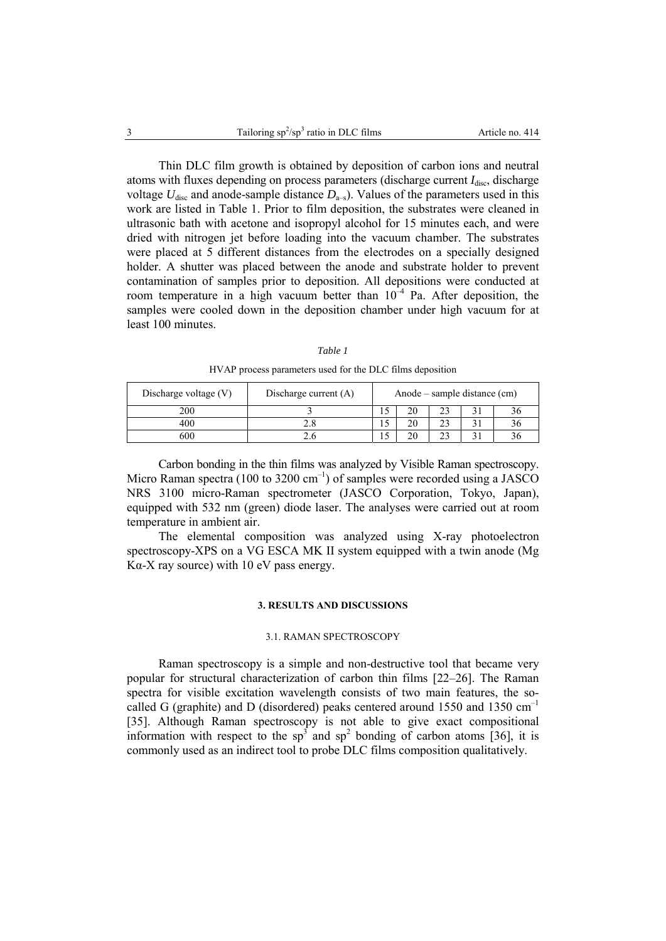Thin DLC film growth is obtained by deposition of carbon ions and neutral atoms with fluxes depending on process parameters (discharge current *I*<sub>disc</sub>, discharge voltage  $U_{\text{disc}}$  and anode-sample distance  $D_{a-s}$ ). Values of the parameters used in this work are listed in Table 1. Prior to film deposition, the substrates were cleaned in ultrasonic bath with acetone and isopropyl alcohol for 15 minutes each, and were dried with nitrogen jet before loading into the vacuum chamber. The substrates were placed at 5 different distances from the electrodes on a specially designed holder. A shutter was placed between the anode and substrate holder to prevent contamination of samples prior to deposition. All depositions were conducted at room temperature in a high vacuum better than  $10^{-4}$  Pa. After deposition, the samples were cooled down in the deposition chamber under high vacuum for at least 100 minutes.

| an |  |
|----|--|
|----|--|

| HVAP process parameters used for the DLC films deposition |  |  |
|-----------------------------------------------------------|--|--|
|                                                           |  |  |

| Discharge voltage (V) | Discharge current $(A)$ | Anode – sample distance (cm) |    |  |  |
|-----------------------|-------------------------|------------------------------|----|--|--|
| 200                   |                         |                              |    |  |  |
|                       |                         |                              | 20 |  |  |
|                       |                         |                              |    |  |  |

Carbon bonding in the thin films was analyzed by Visible Raman spectroscopy. Micro Raman spectra (100 to 3200 cm<sup>-1</sup>) of samples were recorded using a JASCO NRS 3100 micro-Raman spectrometer (JASCO Corporation, Tokyo, Japan), equipped with 532 nm (green) diode laser. The analyses were carried out at room temperature in ambient air.

The elemental composition was analyzed using X-ray photoelectron spectroscopy-XPS on a VG ESCA MK II system equipped with a twin anode (Mg K $\alpha$ -X ray source) with 10 eV pass energy.

## **3. RESULTS AND DISCUSSIONS**

## 3.1. RAMAN SPECTROSCOPY

Raman spectroscopy is a simple and non-destructive tool that became very popular for structural characterization of carbon thin films [22–26]. The Raman spectra for visible excitation wavelength consists of two main features, the socalled G (graphite) and D (disordered) peaks centered around 1550 and 1350  $cm^{-1}$ [35]. Although Raman spectroscopy is not able to give exact compositional information with respect to the sp<sup>3</sup> and sp<sup>2</sup> bonding of carbon atoms [36], it is commonly used as an indirect tool to probe DLC films composition qualitatively.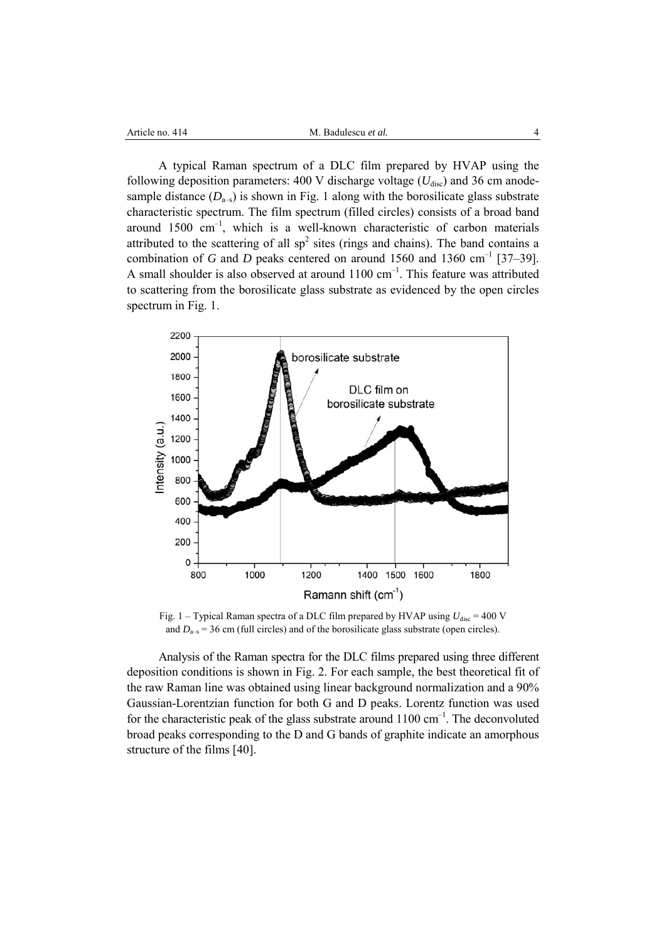| Article no. 414 |  |  |  |
|-----------------|--|--|--|
|-----------------|--|--|--|

A typical Raman spectrum of a DLC film prepared by HVAP using the following deposition parameters: 400 V discharge voltage ( $U_{\text{disc}}$ ) and 36 cm anodesample distance  $(D_{a-s})$  is shown in Fig. 1 along with the borosilicate glass substrate characteristic spectrum. The film spectrum (filled circles) consists of a broad band around  $1500 \text{ cm}^{-1}$ , which is a well-known characteristic of carbon materials attributed to the scattering of all  $sp^2$  sites (rings and chains). The band contains a combination of *G* and *D* peaks centered on around 1560 and 1360 cm<sup>-1</sup> [37–39]. A small shoulder is also observed at around  $1100 \text{ cm}^{-1}$ . This feature was attributed to scattering from the borosilicate glass substrate as evidenced by the open circles spectrum in Fig. 1.



Fig.  $1 -$  Typical Raman spectra of a DLC film prepared by HVAP using  $U_{\text{disc}} = 400$  V and  $D<sub>a-s</sub> = 36$  cm (full circles) and of the borosilicate glass substrate (open circles).

Analysis of the Raman spectra for the DLC films prepared using three different deposition conditions is shown in Fig. 2. For each sample, the best theoretical fit of the raw Raman line was obtained using linear background normalization and a 90% Gaussian-Lorentzian function for both G and D peaks. Lorentz function was used for the characteristic peak of the glass substrate around  $1100 \text{ cm}^{-1}$ . The deconvoluted broad peaks corresponding to the D and G bands of graphite indicate an amorphous structure of the films [40].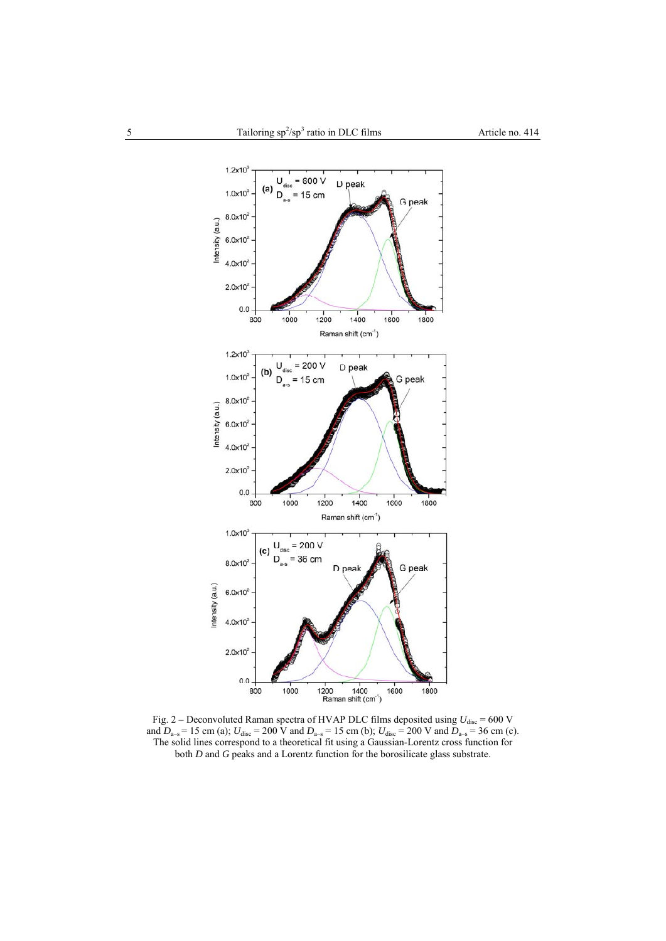

Fig.  $2$  – Deconvoluted Raman spectra of HVAP DLC films deposited using  $U_{\text{disc}} = 600 \text{ V}$ and  $D_{a-s} = 15$  cm (a);  $U_{\text{disc}} = 200$  V and  $D_{a-s} = 15$  cm (b);  $U_{\text{disc}} = 200$  V and  $D_{a-s} = 36$  cm (c). The solid lines correspond to a theoretical fit using a Gaussian-Lorentz cross function for both *D* and *G* peaks and a Lorentz function for the borosilicate glass substrate.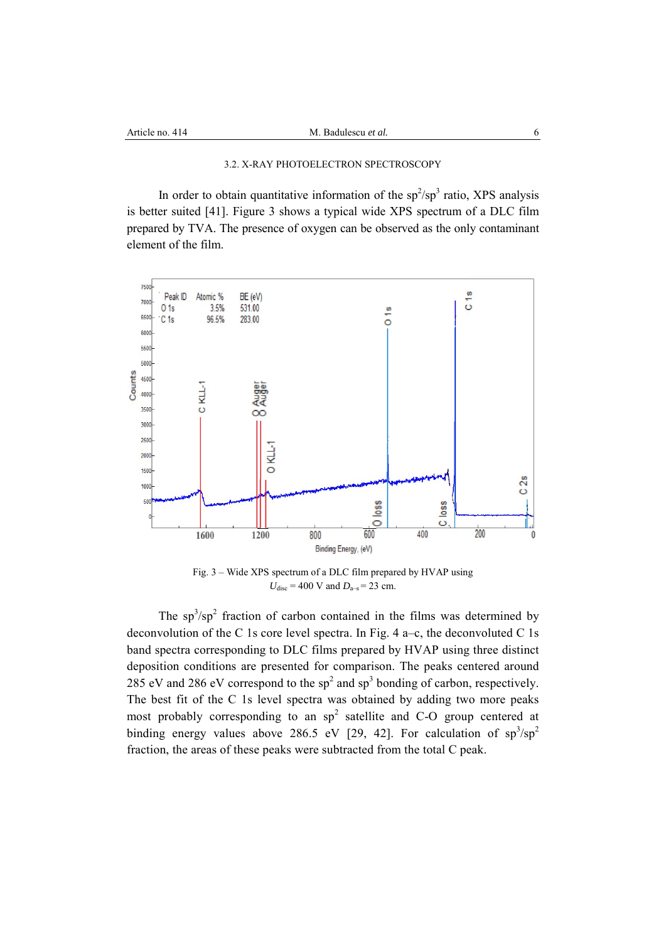# 3.2. X-RAY PHOTOELECTRON SPECTROSCOPY

In order to obtain quantitative information of the  $sp^2/sp^3$  ratio, XPS analysis is better suited [41]. Figure 3 shows a typical wide XPS spectrum of a DLC film prepared by TVA. The presence of oxygen can be observed as the only contaminant element of the film.



Fig. 3 – Wide XPS spectrum of a DLC film prepared by HVAP using  $U_{\text{disc}} = 400 \text{ V}$  and  $D_{\text{a-s}} = 23 \text{ cm}$ .

The  $sp^3$ / $sp^2$  fraction of carbon contained in the films was determined by deconvolution of the C 1s core level spectra. In Fig.  $4a-c$ , the deconvoluted C 1s band spectra corresponding to DLC films prepared by HVAP using three distinct deposition conditions are presented for comparison. The peaks centered around 285 eV and 286 eV correspond to the  $sp^2$  and  $sp^3$  bonding of carbon, respectively. The best fit of the C 1s level spectra was obtained by adding two more peaks most probably corresponding to an  $sp^2$  satellite and C-O group centered at binding energy values above 286.5 eV [29, 42]. For calculation of  $sp^3/sp^2$ fraction, the areas of these peaks were subtracted from the total C peak.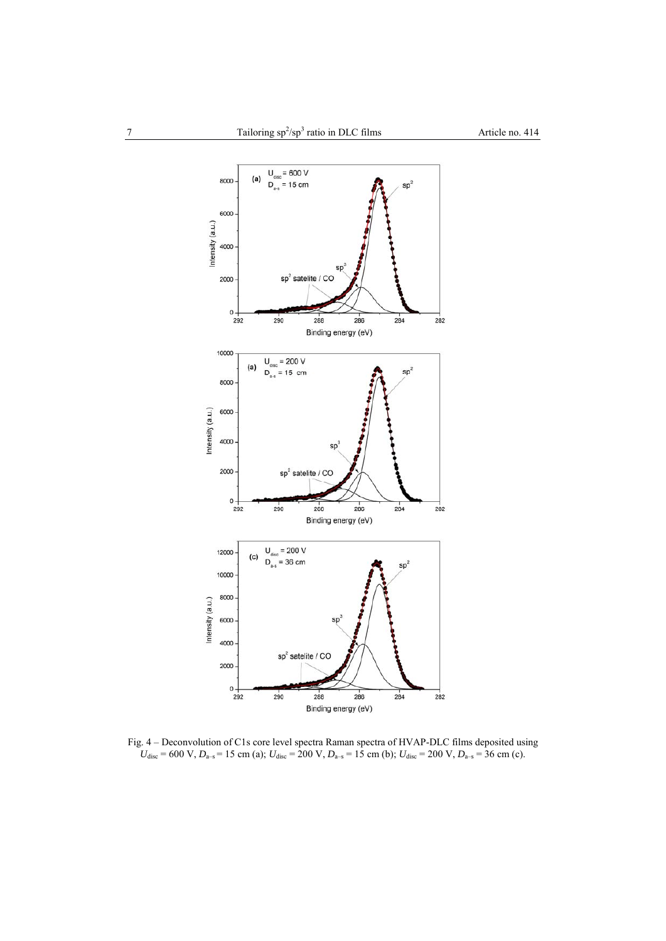

Fig. 4 – Deconvolution of C1s core level spectra Raman spectra of HVAP-DLC films deposited using  $U_{\text{disc}} = 600 \text{ V}, D_{\text{a-s}} = 15 \text{ cm (a)}; U_{\text{disc}} = 200 \text{ V}, D_{\text{a-s}} = 15 \text{ cm (b)}; U_{\text{disc}} = 200 \text{ V}, D_{\text{a-s}} = 36 \text{ cm (c)}.$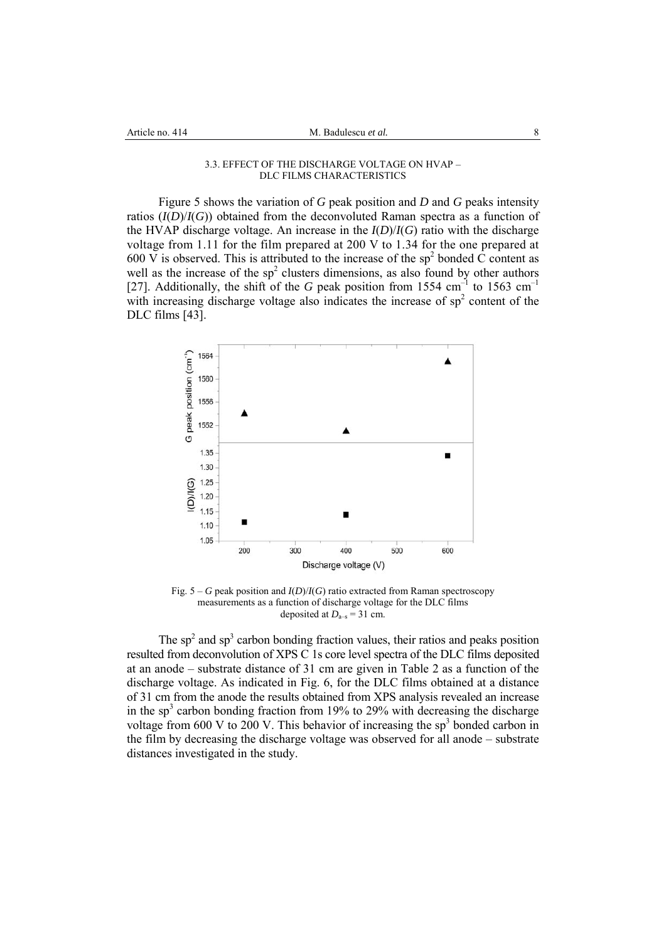### 3.3. EFFECT OF THE DISCHARGE VOLTAGE ON HVAP – DLC FILMS CHARACTERISTICS

Figure 5 shows the variation of *G* peak position and *D* and *G* peaks intensity ratios  $(I(D)/I(G))$  obtained from the deconvoluted Raman spectra as a function of the HVAP discharge voltage. An increase in the  $I(D)/I(G)$  ratio with the discharge voltage from 1.11 for the film prepared at 200 V to 1.34 for the one prepared at 600 V is observed. This is attributed to the increase of the sp<sup>2</sup> bonded  $\dot{C}$  content as well as the increase of the  $sp^2$  clusters dimensions, as also found by other authors [27]. Additionally, the shift of the *G* peak position from 1554 cm<sup>-1</sup> to 1563 cm<sup>-1</sup> with increasing discharge voltage also indicates the increase of  $sp<sup>2</sup>$  content of the DLC films [43].



Fig. 5 – *G* peak position and *I*(*D*)/*I*(*G*) ratio extracted from Raman spectroscopy measurements as a function of discharge voltage for the DLC films deposited at  $D<sub>a-s</sub> = 31$  cm.

The  $sp<sup>2</sup>$  and  $sp<sup>3</sup>$  carbon bonding fraction values, their ratios and peaks position resulted from deconvolution of XPS C 1s core level spectra of the DLC films deposited at an anode – substrate distance of 31 cm are given in Table 2 as a function of the discharge voltage. As indicated in Fig. 6, for the DLC films obtained at a distance of 31 cm from the anode the results obtained from XPS analysis revealed an increase in the sp<sup>3</sup> carbon bonding fraction from 19% to 29% with decreasing the discharge voltage from 600 V to 200 V. This behavior of increasing the  $sp<sup>3</sup>$  bonded carbon in the film by decreasing the discharge voltage was observed for all anode – substrate distances investigated in the study.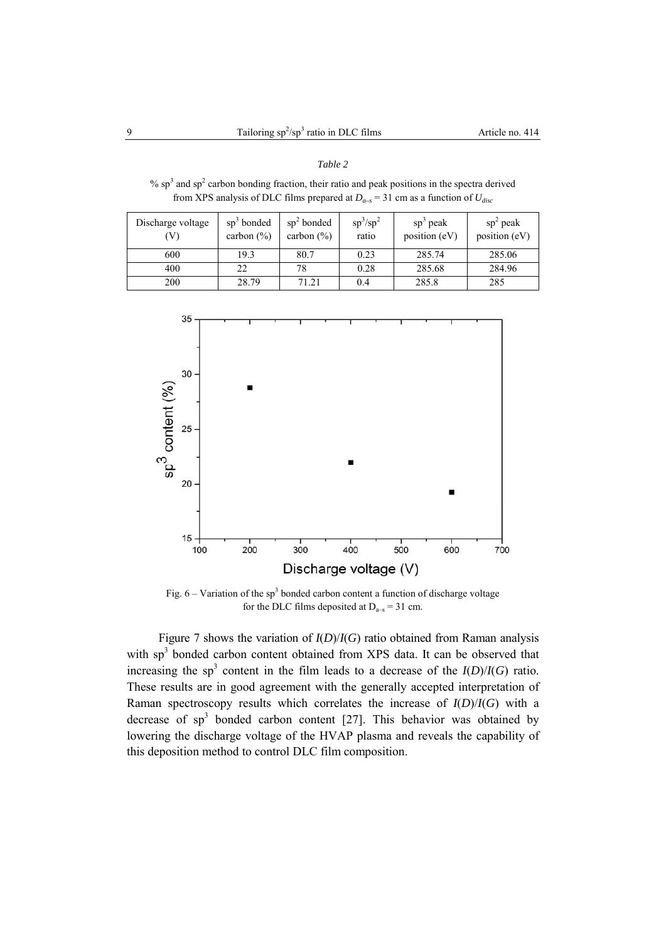# *Table 2*

%  $sp<sup>3</sup>$  and  $sp<sup>2</sup>$  carbon bonding fraction, their ratio and peak positions in the spectra derived from XPS analysis of DLC films prepared at  $D_{a-s} = 31$  cm as a function of  $U_{disc}$ 

| Discharge voltage<br>V) | $sp3$ bonded<br>carbon $(\% )$ | $sp2$ bonded<br>carbon $(\% )$ | $sp^3/sp^2$<br>ratio | $sp3$ peak<br>position (eV) | $sp2$ peak<br>position (eV) |
|-------------------------|--------------------------------|--------------------------------|----------------------|-----------------------------|-----------------------------|
| 600                     | 19.3                           | 80.7                           | 0.23                 | 285.74                      | 285.06                      |
| 400                     | 22                             | 78                             | 0.28                 | 285.68                      | 284.96                      |
| 200                     | 28.79                          | 71.21                          | 0.4                  | 285.8                       | 285                         |



Fig.  $6$  – Variation of the sp<sup>3</sup> bonded carbon content a function of discharge voltage for the DLC films deposited at  $D_{a-s} = 31$  cm.

Figure 7 shows the variation of *I*(*D*)/*I*(*G*) ratio obtained from Raman analysis with sp<sup>3</sup> bonded carbon content obtained from XPS data. It can be observed that increasing the sp<sup>3</sup> content in the film leads to a decrease of the  $I(D)/I(G)$  ratio. These results are in good agreement with the generally accepted interpretation of Raman spectroscopy results which correlates the increase of *I*(*D*)/*I*(*G*) with a decrease of  $sp^3$  bonded carbon content [27]. This behavior was obtained by lowering the discharge voltage of the HVAP plasma and reveals the capability of this deposition method to control DLC film composition.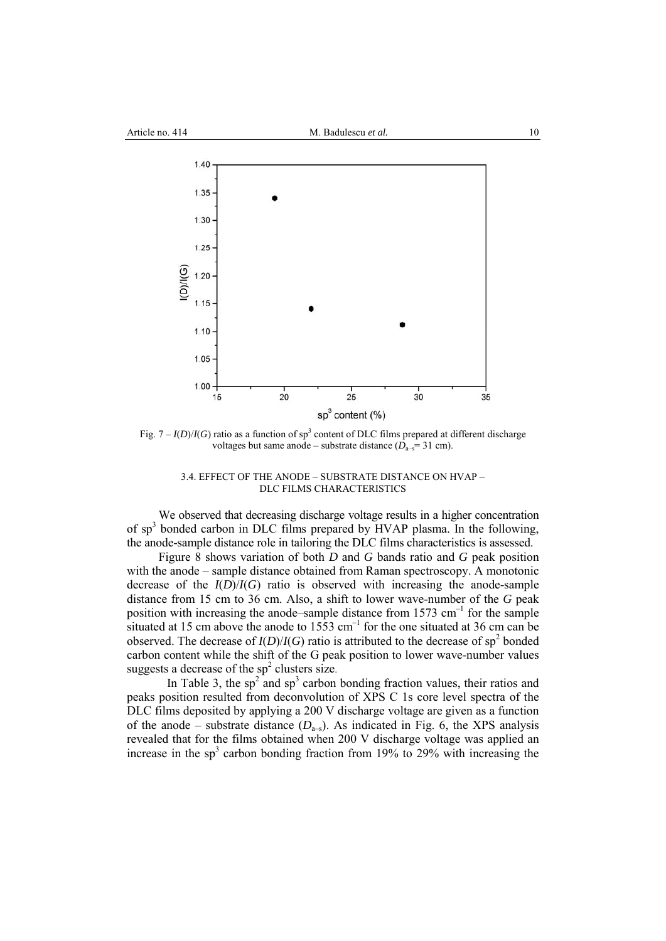

Fig.  $7 - I(D)/I(G)$  ratio as a function of sp<sup>3</sup> content of DLC films prepared at different discharge voltages but same anode – substrate distance  $(D_{a-s}=31 \text{ cm})$ .

3.4. EFFECT OF THE ANODE – SUBSTRATE DISTANCE ON HVAP – DLC FILMS CHARACTERISTICS

We observed that decreasing discharge voltage results in a higher concentration of sp<sup>3</sup> bonded carbon in DLC films prepared by HVAP plasma. In the following, the anode-sample distance role in tailoring the DLC films characteristics is assessed.

Figure 8 shows variation of both *D* and *G* bands ratio and *G* peak position with the anode – sample distance obtained from Raman spectroscopy. A monotonic decrease of the *I*(*D*)/*I*(*G*) ratio is observed with increasing the anode-sample distance from 15 cm to 36 cm. Also, a shift to lower wave-number of the *G* peak position with increasing the anode–sample distance from  $1573 \text{ cm}^{-1}$  for the sample situated at 15 cm above the anode to  $15\overline{53}$  cm<sup>-1</sup> for the one situated at 36 cm can be observed. The decrease of  $I(D)/I(G)$  ratio is attributed to the decrease of sp<sup>2</sup> bonded carbon content while the shift of the G peak position to lower wave-number values suggests a decrease of the  $sp^2$  clusters size.

In Table 3, the sp<sup>2</sup> and sp<sup>3</sup> carbon bonding fraction values, their ratios and peaks position resulted from deconvolution of XPS C 1s core level spectra of the DLC films deposited by applying a 200 V discharge voltage are given as a function of the anode – substrate distance  $(D<sub>a-s</sub>)$ . As indicated in Fig. 6, the XPS analysis revealed that for the films obtained when 200 V discharge voltage was applied an increase in the sp<sup>3</sup> carbon bonding fraction from 19% to 29% with increasing the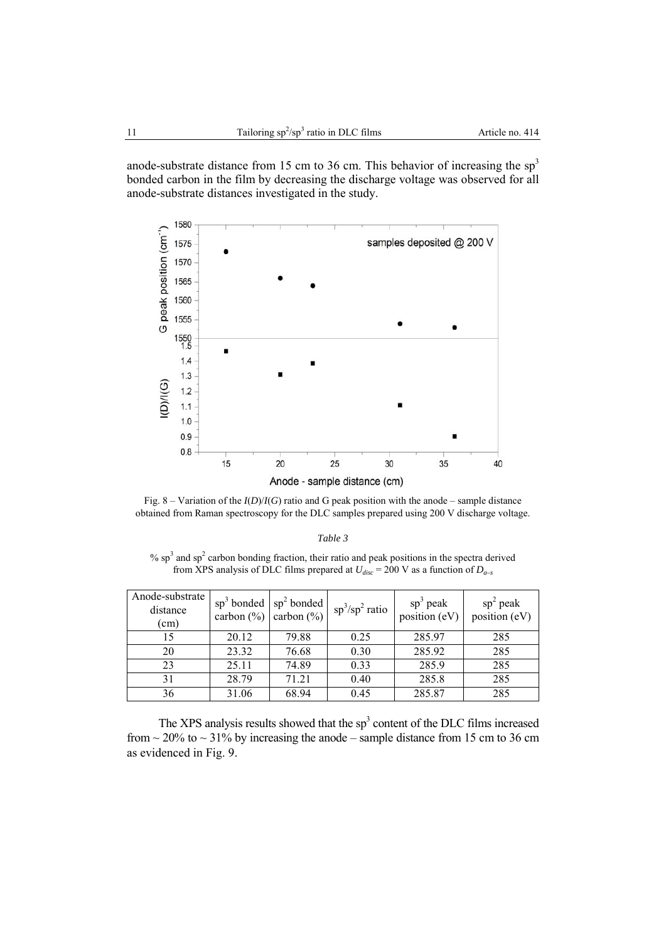anode-substrate distance from 15 cm to 36 cm. This behavior of increasing the  $sp<sup>3</sup>$ bonded carbon in the film by decreasing the discharge voltage was observed for all anode-substrate distances investigated in the study.



Fig. 8 – Variation of the  $I(D)/I(G)$  ratio and G peak position with the anode – sample distance obtained from Raman spectroscopy for the DLC samples prepared using 200 V discharge voltage.

%  $sp<sup>3</sup>$  and  $sp<sup>2</sup>$  carbon bonding fraction, their ratio and peak positions in the spectra derived from XPS analysis of DLC films prepared at  $U_{disc} = 200$  V as a function of  $D_{a-s}$ 

| Anode-substrate<br>distance<br>(cm) |       | $\text{sp}^3$ bonded $\text{sp}^2$ bonded<br>carbon $(\%)$ carbon $(\%)$ | $sp^3/sp^2$ ratio | $sp^3$ peak<br>position (eV) | $sp2$ peak<br>position (eV) |
|-------------------------------------|-------|--------------------------------------------------------------------------|-------------------|------------------------------|-----------------------------|
| 15                                  | 20.12 | 79.88                                                                    | 0.25              | 285.97                       | 285                         |
| 20                                  | 23.32 | 76.68                                                                    | 0.30              | 285.92                       | 285                         |
| 23                                  | 25.11 | 74.89                                                                    | 0.33              | 285.9                        | 285                         |
| 31                                  | 28.79 | 71.21                                                                    | 0.40              | 285.8                        | 285                         |
| 36                                  | 31.06 | 68.94                                                                    | 0.45              | 285.87                       | 285                         |

The XPS analysis results showed that the  $sp<sup>3</sup>$  content of the DLC films increased from  $\sim$  20% to  $\sim$  31% by increasing the anode – sample distance from 15 cm to 36 cm as evidenced in Fig. 9.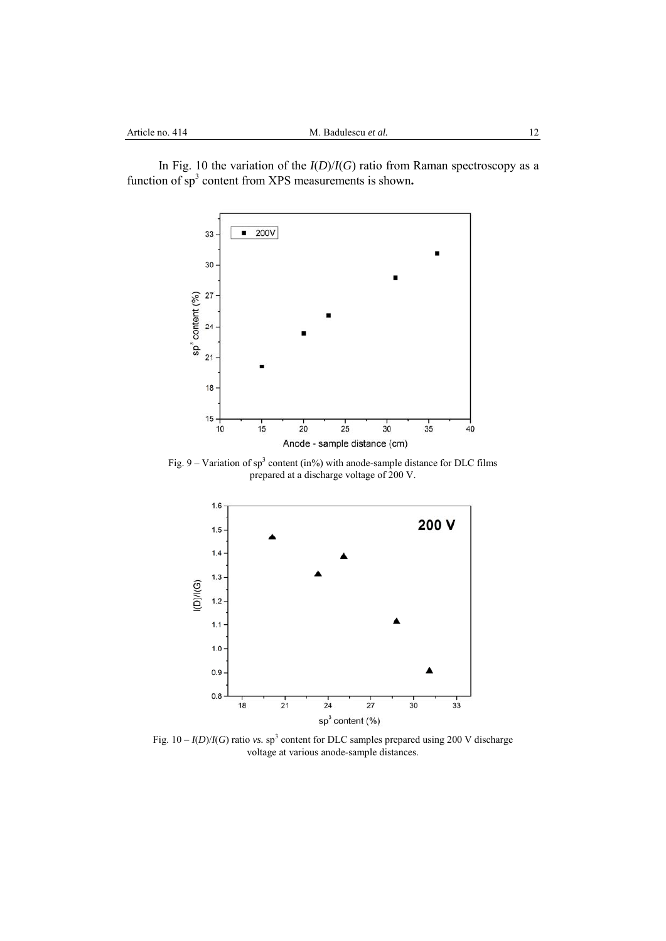In Fig. 10 the variation of the  $I(D)/I(G)$  ratio from Raman spectroscopy as a function of sp<sup>3</sup> content from XPS measurements is shown.



Fig.  $9 - \text{Variation of } sp^3$  content (in%) with anode-sample distance for DLC films prepared at a discharge voltage of 200 V.



Fig.  $10 - I(D)/I(G)$  ratio *vs.* sp<sup>3</sup> content for DLC samples prepared using 200 V discharge voltage at various anode-sample distances.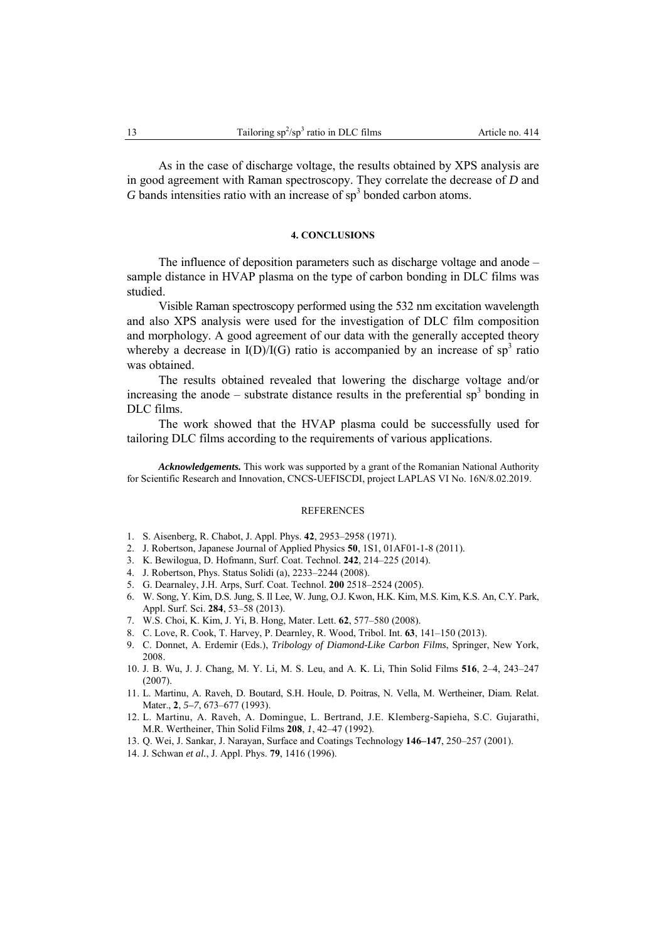As in the case of discharge voltage, the results obtained by XPS analysis are in good agreement with Raman spectroscopy. They correlate the decrease of *D* and  $G$  bands intensities ratio with an increase of  $sp<sup>3</sup>$  bonded carbon atoms.

### **4. CONCLUSIONS**

The influence of deposition parameters such as discharge voltage and anode – sample distance in HVAP plasma on the type of carbon bonding in DLC films was studied.

Visible Raman spectroscopy performed using the 532 nm excitation wavelength and also XPS analysis were used for the investigation of DLC film composition and morphology. A good agreement of our data with the generally accepted theory whereby a decrease in  $I(D)/I(G)$  ratio is accompanied by an increase of sp<sup>3</sup> ratio was obtained.

The results obtained revealed that lowering the discharge voltage and/or increasing the anode – substrate distance results in the preferential  $sp<sup>3</sup>$  bonding in DLC films.

The work showed that the HVAP plasma could be successfully used for tailoring DLC films according to the requirements of various applications.

*Acknowledgements.* This work was supported by a grant of the Romanian National Authority for Scientific Research and Innovation, CNCS-UEFISCDI, project LAPLAS VI No. 16N/8.02.2019.

### **REFERENCES**

- 1. S. Aisenberg, R. Chabot, J. Appl. Phys. **42**, 2953–2958 (1971).
- 2. J. Robertson, Japanese Journal of Applied Physics **50**, 1S1, 01AF01-1-8 (2011).
- 3. K. Bewilogua, D. Hofmann, Surf. Coat. Technol. **242**, 214–225 (2014).
- 4. J. Robertson, Phys. Status Solidi (a), 2233–2244 (2008).
- 5. G. Dearnaley, J.H. Arps, Surf. Coat. Technol. **200** 2518–2524 (2005).
- 6. W. Song, Y. Kim, D.S. Jung, S. Il Lee, W. Jung, O.J. Kwon, H.K. Kim, M.S. Kim, K.S. An, C.Y. Park, Appl. Surf. Sci. **284**, 53–58 (2013).
- 7. W.S. Choi, K. Kim, J. Yi, B. Hong, Mater. Lett. **62**, 577–580 (2008).
- 8. C. Love, R. Cook, T. Harvey, P. Dearnley, R. Wood, Tribol. Int. **63**, 141–150 (2013).
- 9. C. Donnet, A. Erdemir (Eds.), *Tribology of Diamond-Like Carbon Films*, Springer, New York, 2008.
- 10. J. B. Wu, J. J. Chang, M. Y. Li, M. S. Leu, and A. K. Li, Thin Solid Films **516**, 2–4, 243–247 (2007).
- 11. L. Martinu, A. Raveh, D. Boutard, S.H. Houle, D. Poitras, N. Vella, M. Wertheiner, Diam. Relat. Mater., **2**, *5–7*, 673–677 (1993).
- 12. L. Martinu, A. Raveh, A. Domingue, L. Bertrand, J.E. Klemberg-Sapieha, S.C. Gujarathi, M.R. Wertheiner, Thin Solid Films **208**, *1*, 42–47 (1992).
- 13. Q. Wei, J. Sankar, J. Narayan, Surface and Coatings Technology **146–147**, 250–257 (2001).
- 14. J. Schwan *et al.*, J. Appl. Phys. **79**, 1416 (1996).